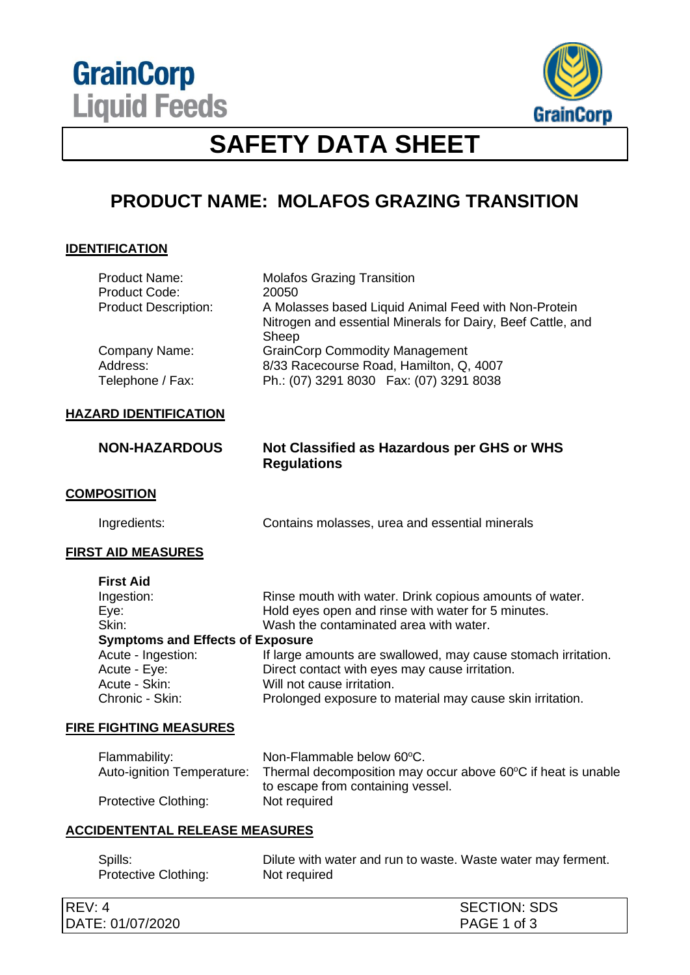



## **SAFETY DATA SHEET**

# **PRODUCT NAME: MOLAFOS GRAZING TRANSITION**

## **IDENTIFICATION**

| <b>NON-HAZARDOUS</b>                          | Not Classified as Hazardous per GHS or WHS<br><b>Regulations</b>                                                             |
|-----------------------------------------------|------------------------------------------------------------------------------------------------------------------------------|
| <b>HAZARD IDENTIFICATION</b>                  |                                                                                                                              |
| Company Name:<br>Address:<br>Telephone / Fax: | <b>GrainCorp Commodity Management</b><br>8/33 Racecourse Road, Hamilton, Q, 4007<br>Ph.: (07) 3291 8030  Fax: (07) 3291 8038 |
| <b>Product Description:</b>                   | A Molasses based Liquid Animal Feed with Non-Protein<br>Nitrogen and essential Minerals for Dairy, Beef Cattle, and<br>Sheep |
| <b>Product Name:</b><br>Product Code:         | <b>Molafos Grazing Transition</b><br>20050                                                                                   |

## **COMPOSITION**

Ingredients: Contains molasses, urea and essential minerals

#### **FIRST AID MEASURES**

| <b>First Aid</b>                        |                                                               |  |
|-----------------------------------------|---------------------------------------------------------------|--|
| Ingestion:                              | Rinse mouth with water. Drink copious amounts of water.       |  |
| Eye:                                    | Hold eyes open and rinse with water for 5 minutes.            |  |
| Skin:                                   | Wash the contaminated area with water.                        |  |
| <b>Symptoms and Effects of Exposure</b> |                                                               |  |
| Acute - Ingestion:                      | If large amounts are swallowed, may cause stomach irritation. |  |
| Acute - Eye:                            | Direct contact with eyes may cause irritation.                |  |
| Acute - Skin:                           | Will not cause irritation.                                    |  |
| Chronic - Skin:                         | Prolonged exposure to material may cause skin irritation.     |  |

#### **FIRE FIGHTING MEASURES**

| Flammability:              | Non-Flammable below 60°C.                                    |
|----------------------------|--------------------------------------------------------------|
| Auto-ignition Temperature: | Thermal decomposition may occur above 60°C if heat is unable |
|                            | to escape from containing vessel.                            |
| Protective Clothing:       | Not required                                                 |

#### **ACCIDENTENTAL RELEASE MEASURES**

| Spills:              | Dilute with water and run to waste. Waste water may ferment. |  |
|----------------------|--------------------------------------------------------------|--|
| Protective Clothing: | Not required                                                 |  |

| REV:<br>4 ֹ      | <b>SECTION: SDS</b> |
|------------------|---------------------|
| DATE: 01/07/2020 | PAGE 1 of 3         |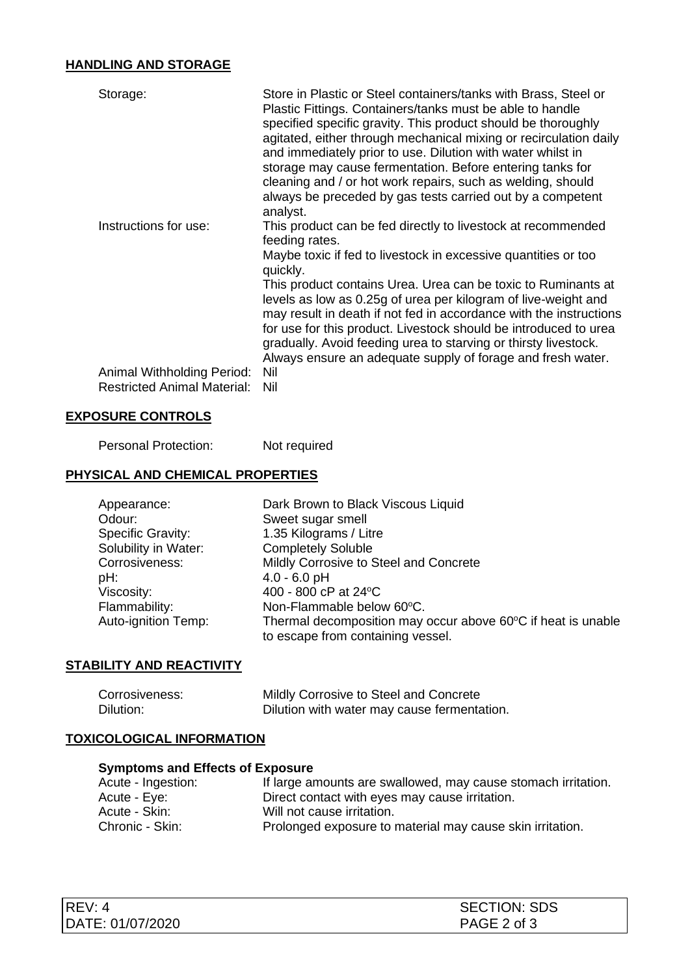## **HANDLING AND STORAGE**

| Storage:                                                         | Store in Plastic or Steel containers/tanks with Brass, Steel or<br>Plastic Fittings. Containers/tanks must be able to handle<br>specified specific gravity. This product should be thoroughly<br>agitated, either through mechanical mixing or recirculation daily<br>and immediately prior to use. Dilution with water whilst in<br>storage may cause fermentation. Before entering tanks for<br>cleaning and / or hot work repairs, such as welding, should<br>always be preceded by gas tests carried out by a competent<br>analyst. |
|------------------------------------------------------------------|-----------------------------------------------------------------------------------------------------------------------------------------------------------------------------------------------------------------------------------------------------------------------------------------------------------------------------------------------------------------------------------------------------------------------------------------------------------------------------------------------------------------------------------------|
| Instructions for use:                                            | This product can be fed directly to livestock at recommended<br>feeding rates.                                                                                                                                                                                                                                                                                                                                                                                                                                                          |
|                                                                  | Maybe toxic if fed to livestock in excessive quantities or too<br>quickly.                                                                                                                                                                                                                                                                                                                                                                                                                                                              |
|                                                                  | This product contains Urea. Urea can be toxic to Ruminants at<br>levels as low as 0.25g of urea per kilogram of live-weight and<br>may result in death if not fed in accordance with the instructions<br>for use for this product. Livestock should be introduced to urea<br>gradually. Avoid feeding urea to starving or thirsty livestock.<br>Always ensure an adequate supply of forage and fresh water.                                                                                                                             |
| Animal Withholding Period:<br><b>Restricted Animal Material:</b> | Nil<br>Nil                                                                                                                                                                                                                                                                                                                                                                                                                                                                                                                              |

#### **EXPOSURE CONTROLS**

Personal Protection: Not required

#### **PHYSICAL AND CHEMICAL PROPERTIES**

| Appearance:              | Dark Brown to Black Viscous Liquid                                                                |
|--------------------------|---------------------------------------------------------------------------------------------------|
| Odour:                   | Sweet sugar smell                                                                                 |
| <b>Specific Gravity:</b> | 1.35 Kilograms / Litre                                                                            |
| Solubility in Water:     | <b>Completely Soluble</b>                                                                         |
| Corrosiveness:           | Mildly Corrosive to Steel and Concrete                                                            |
| pH:                      | $4.0 - 6.0$ pH                                                                                    |
| Viscosity:               | 400 - 800 cP at 24 °C                                                                             |
| Flammability:            | Non-Flammable below 60°C.                                                                         |
| Auto-ignition Temp:      | Thermal decomposition may occur above 60°C if heat is unable<br>to escape from containing vessel. |

## **STABILITY AND REACTIVITY**

| Corrosiveness: | Mildly Corrosive to Steel and Concrete      |
|----------------|---------------------------------------------|
| Dilution:      | Dilution with water may cause fermentation. |

#### **TOXICOLOGICAL INFORMATION**

## **Symptoms and Effects of Exposure**

| Acute - Ingestion: | If large amounts are swallowed, may cause stomach irritation. |
|--------------------|---------------------------------------------------------------|
| Acute - Eye:       | Direct contact with eyes may cause irritation.                |
| Acute - Skin:      | Will not cause irritation.                                    |
| Chronic - Skin:    | Prolonged exposure to material may cause skin irritation.     |

| REV: 4           | <b>SECTION: SDS</b> |
|------------------|---------------------|
| DATE: 01/07/2020 | PAGE 2 of 3         |